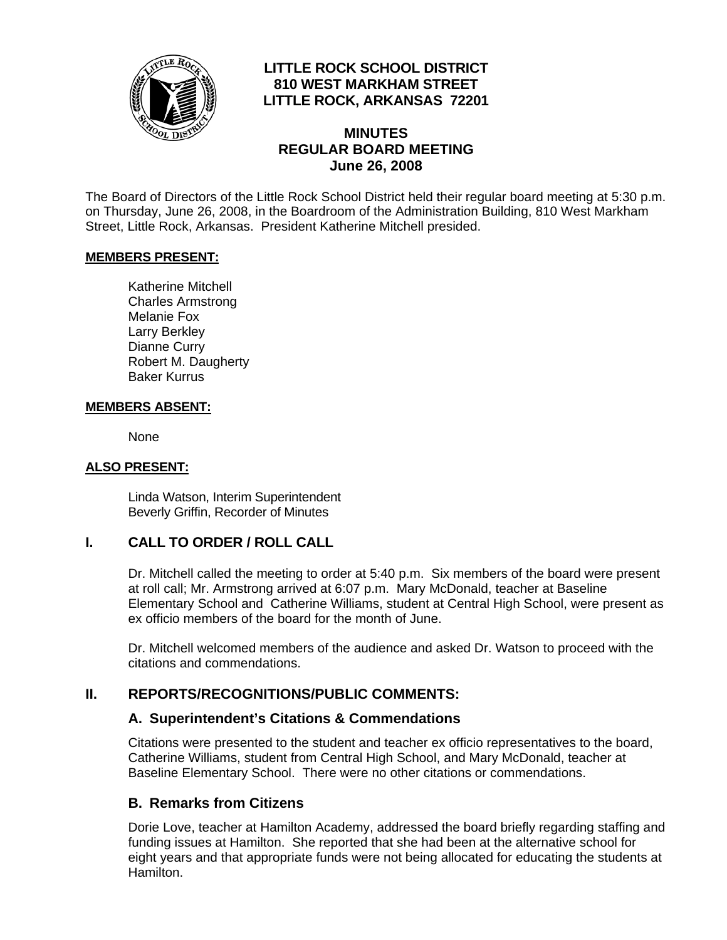

### **LITTLE ROCK SCHOOL DISTRICT 810 WEST MARKHAM STREET LITTLE ROCK, ARKANSAS 72201**

### **MINUTES REGULAR BOARD MEETING June 26, 2008**

The Board of Directors of the Little Rock School District held their regular board meeting at 5:30 p.m. on Thursday, June 26, 2008, in the Boardroom of the Administration Building, 810 West Markham Street, Little Rock, Arkansas. President Katherine Mitchell presided.

#### **MEMBERS PRESENT:**

Katherine Mitchell Charles Armstrong Melanie Fox Larry Berkley Dianne Curry Robert M. Daugherty Baker Kurrus

#### **MEMBERS ABSENT:**

None

#### **ALSO PRESENT:**

 Linda Watson, Interim Superintendent Beverly Griffin, Recorder of Minutes

#### **I. CALL TO ORDER / ROLL CALL**

Dr. Mitchell called the meeting to order at 5:40 p.m. Six members of the board were present at roll call; Mr. Armstrong arrived at 6:07 p.m. Mary McDonald, teacher at Baseline Elementary School and Catherine Williams, student at Central High School, were present as ex officio members of the board for the month of June.

Dr. Mitchell welcomed members of the audience and asked Dr. Watson to proceed with the citations and commendations.

#### **II. REPORTS/RECOGNITIONS/PUBLIC COMMENTS:**

#### **A. Superintendent's Citations & Commendations**

Citations were presented to the student and teacher ex officio representatives to the board, Catherine Williams, student from Central High School, and Mary McDonald, teacher at Baseline Elementary School. There were no other citations or commendations.

#### **B. Remarks from Citizens**

Dorie Love, teacher at Hamilton Academy, addressed the board briefly regarding staffing and funding issues at Hamilton. She reported that she had been at the alternative school for eight years and that appropriate funds were not being allocated for educating the students at Hamilton.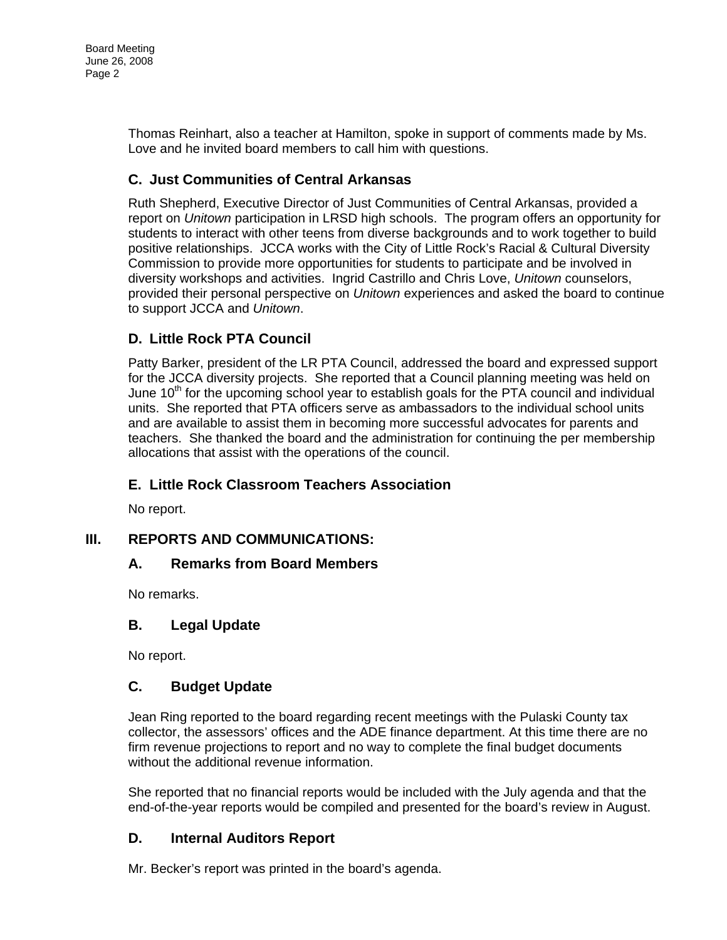Board Meeting June 26, 2008 Page 2

> Thomas Reinhart, also a teacher at Hamilton, spoke in support of comments made by Ms. Love and he invited board members to call him with questions.

# **C. Just Communities of Central Arkansas**

Ruth Shepherd, Executive Director of Just Communities of Central Arkansas, provided a report on *Unitown* participation in LRSD high schools. The program offers an opportunity for students to interact with other teens from diverse backgrounds and to work together to build positive relationships. JCCA works with the City of Little Rock's Racial & Cultural Diversity Commission to provide more opportunities for students to participate and be involved in diversity workshops and activities. Ingrid Castrillo and Chris Love, *Unitown* counselors, provided their personal perspective on *Unitown* experiences and asked the board to continue to support JCCA and *Unitown*.

# **D. Little Rock PTA Council**

Patty Barker, president of the LR PTA Council, addressed the board and expressed support for the JCCA diversity projects. She reported that a Council planning meeting was held on June  $10<sup>th</sup>$  for the upcoming school year to establish goals for the PTA council and individual units. She reported that PTA officers serve as ambassadors to the individual school units and are available to assist them in becoming more successful advocates for parents and teachers. She thanked the board and the administration for continuing the per membership allocations that assist with the operations of the council.

# **E. Little Rock Classroom Teachers Association**

No report.

# **III. REPORTS AND COMMUNICATIONS:**

# **A. Remarks from Board Members**

No remarks.

# **B. Legal Update**

No report.

# **C. Budget Update**

Jean Ring reported to the board regarding recent meetings with the Pulaski County tax collector, the assessors' offices and the ADE finance department. At this time there are no firm revenue projections to report and no way to complete the final budget documents without the additional revenue information.

She reported that no financial reports would be included with the July agenda and that the end-of-the-year reports would be compiled and presented for the board's review in August.

# **D. Internal Auditors Report**

Mr. Becker's report was printed in the board's agenda.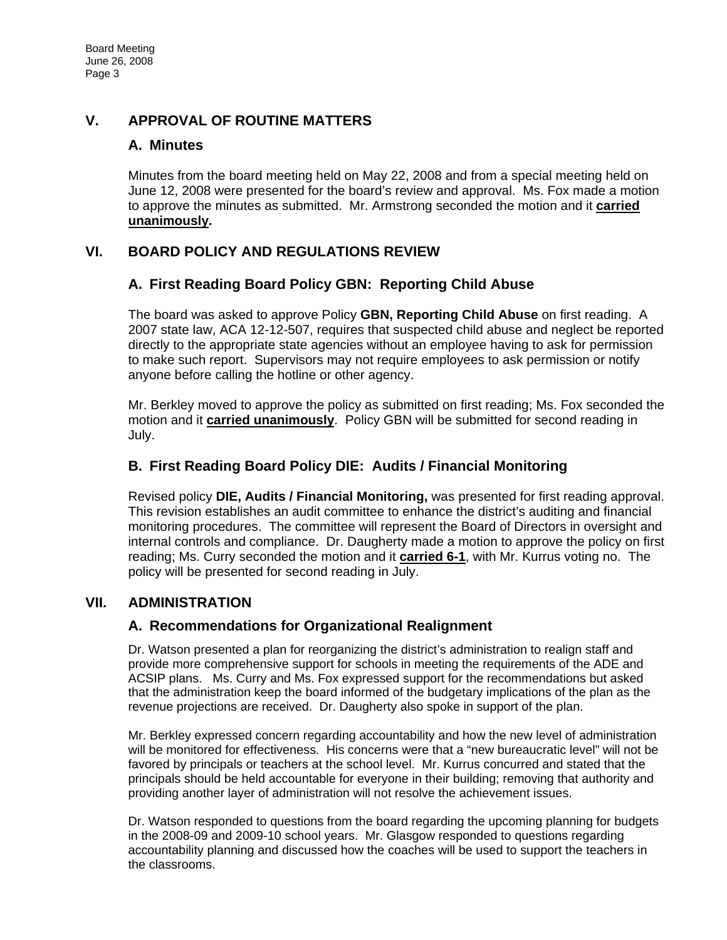# **V. APPROVAL OF ROUTINE MATTERS**

#### **A. Minutes**

Minutes from the board meeting held on May 22, 2008 and from a special meeting held on June 12, 2008 were presented for the board's review and approval. Ms. Fox made a motion to approve the minutes as submitted. Mr. Armstrong seconded the motion and it **carried unanimously.** 

### **VI. BOARD POLICY AND REGULATIONS REVIEW**

### **A. First Reading Board Policy GBN: Reporting Child Abuse**

The board was asked to approve Policy **GBN, Reporting Child Abuse** on first reading. A 2007 state law, ACA 12-12-507, requires that suspected child abuse and neglect be reported directly to the appropriate state agencies without an employee having to ask for permission to make such report. Supervisors may not require employees to ask permission or notify anyone before calling the hotline or other agency.

Mr. Berkley moved to approve the policy as submitted on first reading; Ms. Fox seconded the motion and it **carried unanimously**. Policy GBN will be submitted for second reading in July.

#### **B. First Reading Board Policy DIE: Audits / Financial Monitoring**

Revised policy **DIE, Audits / Financial Monitoring,** was presented for first reading approval. This revision establishes an audit committee to enhance the district's auditing and financial monitoring procedures. The committee will represent the Board of Directors in oversight and internal controls and compliance. Dr. Daugherty made a motion to approve the policy on first reading; Ms. Curry seconded the motion and it **carried 6-1**, with Mr. Kurrus voting no. The policy will be presented for second reading in July.

# **VII. ADMINISTRATION**

#### **A. Recommendations for Organizational Realignment**

Dr. Watson presented a plan for reorganizing the district's administration to realign staff and provide more comprehensive support for schools in meeting the requirements of the ADE and ACSIP plans. Ms. Curry and Ms. Fox expressed support for the recommendations but asked that the administration keep the board informed of the budgetary implications of the plan as the revenue projections are received. Dr. Daugherty also spoke in support of the plan.

Mr. Berkley expressed concern regarding accountability and how the new level of administration will be monitored for effectiveness. His concerns were that a "new bureaucratic level" will not be favored by principals or teachers at the school level. Mr. Kurrus concurred and stated that the principals should be held accountable for everyone in their building; removing that authority and providing another layer of administration will not resolve the achievement issues.

Dr. Watson responded to questions from the board regarding the upcoming planning for budgets in the 2008-09 and 2009-10 school years. Mr. Glasgow responded to questions regarding accountability planning and discussed how the coaches will be used to support the teachers in the classrooms.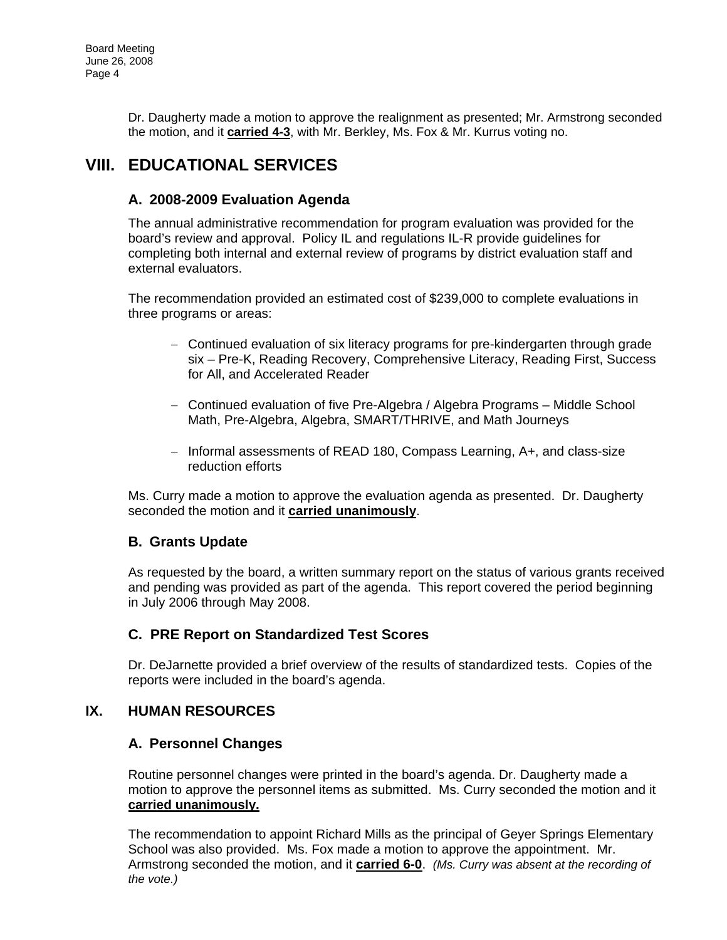Dr. Daugherty made a motion to approve the realignment as presented; Mr. Armstrong seconded the motion, and it **carried 4-3**, with Mr. Berkley, Ms. Fox & Mr. Kurrus voting no.

# **VIII. EDUCATIONAL SERVICES**

#### **A. 2008-2009 Evaluation Agenda**

The annual administrative recommendation for program evaluation was provided for the board's review and approval. Policy IL and regulations IL-R provide guidelines for completing both internal and external review of programs by district evaluation staff and external evaluators.

The recommendation provided an estimated cost of \$239,000 to complete evaluations in three programs or areas:

- − Continued evaluation of six literacy programs for pre-kindergarten through grade six – Pre-K, Reading Recovery, Comprehensive Literacy, Reading First, Success for All, and Accelerated Reader
- − Continued evaluation of five Pre-Algebra / Algebra Programs Middle School Math, Pre-Algebra, Algebra, SMART/THRIVE, and Math Journeys
- − Informal assessments of READ 180, Compass Learning, A+, and class-size reduction efforts

Ms. Curry made a motion to approve the evaluation agenda as presented. Dr. Daugherty seconded the motion and it **carried unanimously**.

#### **B. Grants Update**

As requested by the board, a written summary report on the status of various grants received and pending was provided as part of the agenda. This report covered the period beginning in July 2006 through May 2008.

# **C. PRE Report on Standardized Test Scores**

Dr. DeJarnette provided a brief overview of the results of standardized tests. Copies of the reports were included in the board's agenda.

#### **IX. HUMAN RESOURCES**

#### **A. Personnel Changes**

Routine personnel changes were printed in the board's agenda. Dr. Daugherty made a motion to approve the personnel items as submitted. Ms. Curry seconded the motion and it **carried unanimously.**

The recommendation to appoint Richard Mills as the principal of Geyer Springs Elementary School was also provided. Ms. Fox made a motion to approve the appointment. Mr. Armstrong seconded the motion, and it **carried 6-0**. *(Ms. Curry was absent at the recording of the vote.)*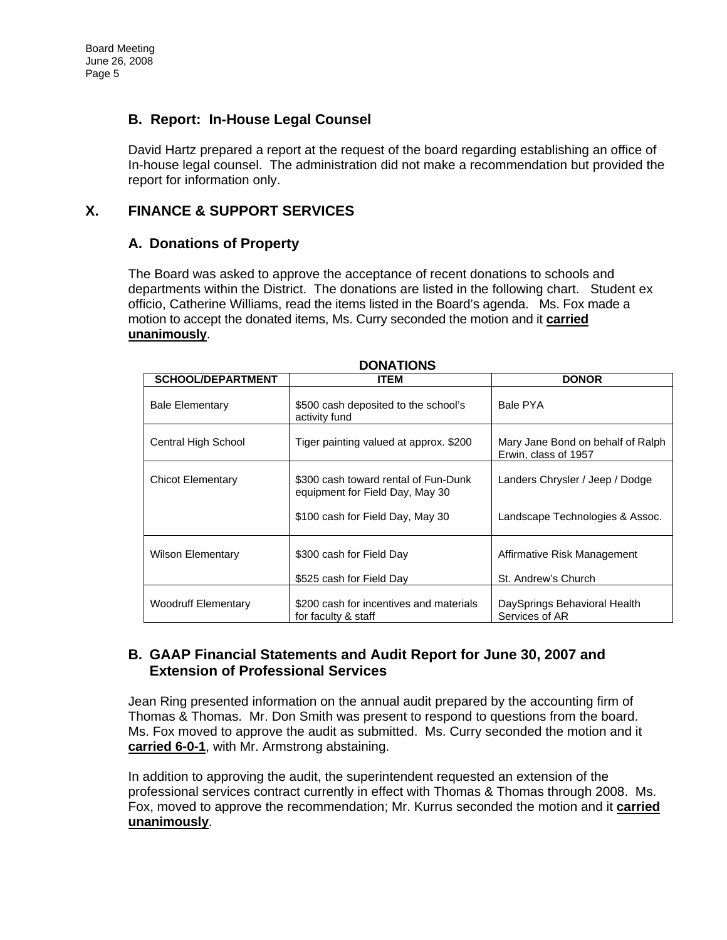### **B. Report: In-House Legal Counsel**

David Hartz prepared a report at the request of the board regarding establishing an office of In-house legal counsel. The administration did not make a recommendation but provided the report for information only.

# **X. FINANCE & SUPPORT SERVICES**

### **A. Donations of Property**

The Board was asked to approve the acceptance of recent donations to schools and departments within the District. The donations are listed in the following chart. Student ex officio, Catherine Williams, read the items listed in the Board's agenda. Ms. Fox made a motion to accept the donated items, Ms. Curry seconded the motion and it **carried unanimously**.

| <b>SCHOOL/DEPARTMENT</b>   | <b>ITEM</b>                                                             | <b>DONOR</b>                                              |
|----------------------------|-------------------------------------------------------------------------|-----------------------------------------------------------|
| <b>Bale Elementary</b>     | \$500 cash deposited to the school's<br>activity fund                   | Bale PYA                                                  |
| Central High School        | Tiger painting valued at approx. \$200                                  | Mary Jane Bond on behalf of Ralph<br>Erwin, class of 1957 |
| Chicot Elementary          | \$300 cash toward rental of Fun-Dunk<br>equipment for Field Day, May 30 | Landers Chrysler / Jeep / Dodge                           |
|                            | \$100 cash for Field Day, May 30                                        | Landscape Technologies & Assoc.                           |
| <b>Wilson Elementary</b>   | \$300 cash for Field Day                                                | Affirmative Risk Management                               |
|                            | \$525 cash for Field Day                                                | St. Andrew's Church                                       |
| <b>Woodruff Elementary</b> | \$200 cash for incentives and materials<br>for faculty & staff          | DaySprings Behavioral Health<br>Services of AR            |

**DONATIONS** 

#### **B. GAAP Financial Statements and Audit Report for June 30, 2007 and Extension of Professional Services**

Jean Ring presented information on the annual audit prepared by the accounting firm of Thomas & Thomas. Mr. Don Smith was present to respond to questions from the board. Ms. Fox moved to approve the audit as submitted. Ms. Curry seconded the motion and it **carried 6-0-1**, with Mr. Armstrong abstaining.

In addition to approving the audit, the superintendent requested an extension of the professional services contract currently in effect with Thomas & Thomas through 2008. Ms. Fox, moved to approve the recommendation; Mr. Kurrus seconded the motion and it **carried unanimously**.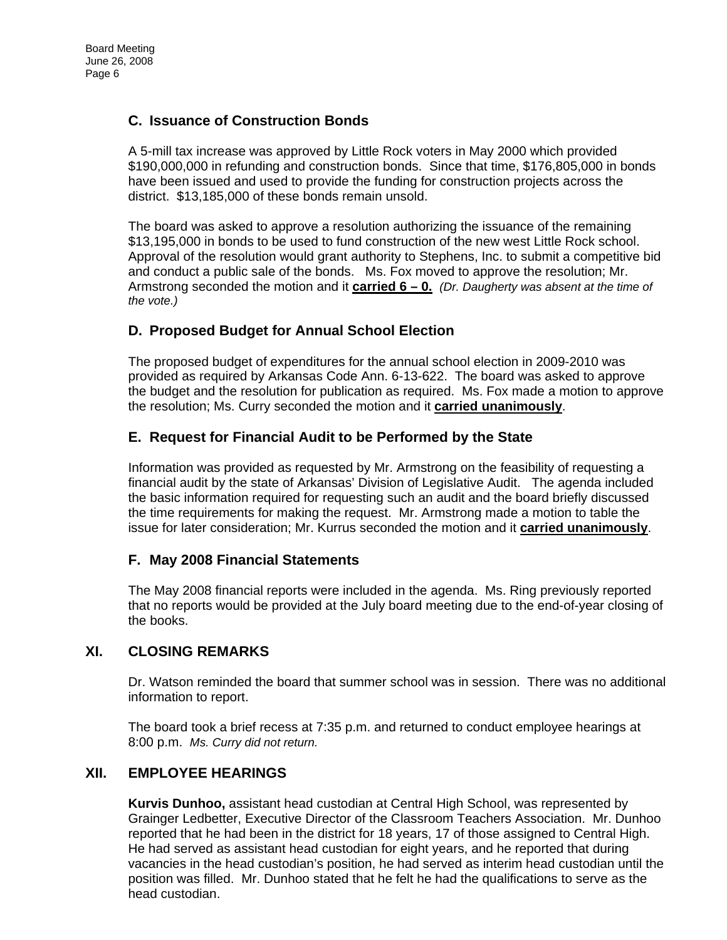#### **C. Issuance of Construction Bonds**

A 5-mill tax increase was approved by Little Rock voters in May 2000 which provided \$190,000,000 in refunding and construction bonds. Since that time, \$176,805,000 in bonds have been issued and used to provide the funding for construction projects across the district. \$13,185,000 of these bonds remain unsold.

The board was asked to approve a resolution authorizing the issuance of the remaining \$13,195,000 in bonds to be used to fund construction of the new west Little Rock school. Approval of the resolution would grant authority to Stephens, Inc. to submit a competitive bid and conduct a public sale of the bonds. Ms. Fox moved to approve the resolution; Mr. Armstrong seconded the motion and it **carried 6 – 0.** *(Dr. Daugherty was absent at the time of the vote.)* 

# **D. Proposed Budget for Annual School Election**

The proposed budget of expenditures for the annual school election in 2009-2010 was provided as required by Arkansas Code Ann. 6-13-622. The board was asked to approve the budget and the resolution for publication as required. Ms. Fox made a motion to approve the resolution; Ms. Curry seconded the motion and it **carried unanimously**.

### **E. Request for Financial Audit to be Performed by the State**

Information was provided as requested by Mr. Armstrong on the feasibility of requesting a financial audit by the state of Arkansas' Division of Legislative Audit. The agenda included the basic information required for requesting such an audit and the board briefly discussed the time requirements for making the request. Mr. Armstrong made a motion to table the issue for later consideration; Mr. Kurrus seconded the motion and it **carried unanimously**.

#### **F. May 2008 Financial Statements**

The May 2008 financial reports were included in the agenda. Ms. Ring previously reported that no reports would be provided at the July board meeting due to the end-of-year closing of the books.

#### **XI. CLOSING REMARKS**

Dr. Watson reminded the board that summer school was in session. There was no additional information to report.

The board took a brief recess at 7:35 p.m. and returned to conduct employee hearings at 8:00 p.m. *Ms. Curry did not return.*

#### **XII. EMPLOYEE HEARINGS**

**Kurvis Dunhoo,** assistant head custodian at Central High School, was represented by Grainger Ledbetter, Executive Director of the Classroom Teachers Association. Mr. Dunhoo reported that he had been in the district for 18 years, 17 of those assigned to Central High. He had served as assistant head custodian for eight years, and he reported that during vacancies in the head custodian's position, he had served as interim head custodian until the position was filled. Mr. Dunhoo stated that he felt he had the qualifications to serve as the head custodian.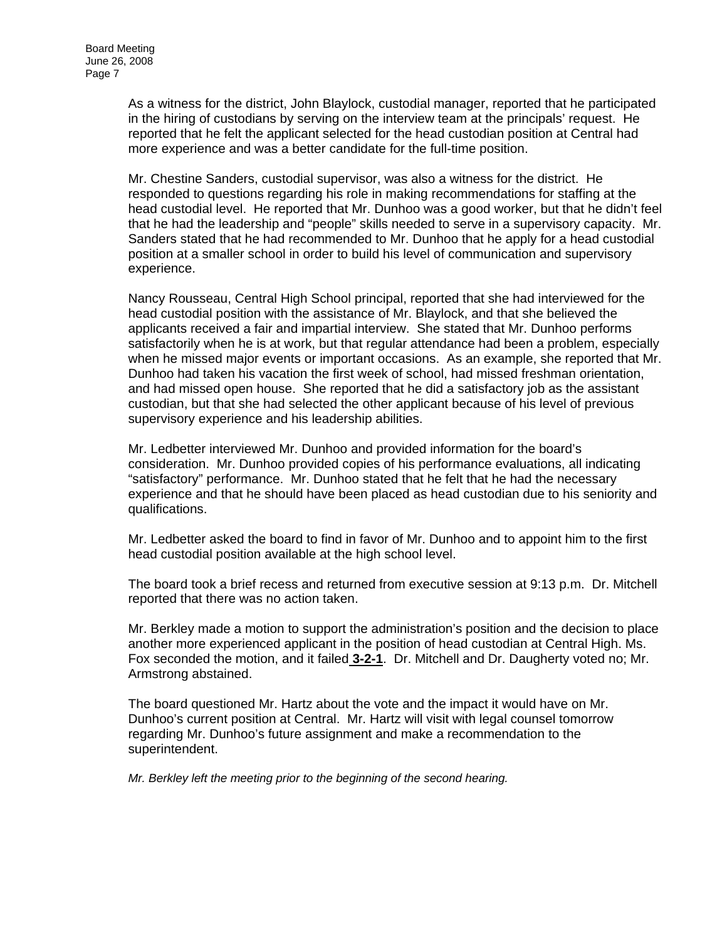As a witness for the district, John Blaylock, custodial manager, reported that he participated in the hiring of custodians by serving on the interview team at the principals' request. He reported that he felt the applicant selected for the head custodian position at Central had more experience and was a better candidate for the full-time position.

Mr. Chestine Sanders, custodial supervisor, was also a witness for the district. He responded to questions regarding his role in making recommendations for staffing at the head custodial level. He reported that Mr. Dunhoo was a good worker, but that he didn't feel that he had the leadership and "people" skills needed to serve in a supervisory capacity. Mr. Sanders stated that he had recommended to Mr. Dunhoo that he apply for a head custodial position at a smaller school in order to build his level of communication and supervisory experience.

Nancy Rousseau, Central High School principal, reported that she had interviewed for the head custodial position with the assistance of Mr. Blaylock, and that she believed the applicants received a fair and impartial interview. She stated that Mr. Dunhoo performs satisfactorily when he is at work, but that regular attendance had been a problem, especially when he missed major events or important occasions. As an example, she reported that Mr. Dunhoo had taken his vacation the first week of school, had missed freshman orientation, and had missed open house. She reported that he did a satisfactory job as the assistant custodian, but that she had selected the other applicant because of his level of previous supervisory experience and his leadership abilities.

Mr. Ledbetter interviewed Mr. Dunhoo and provided information for the board's consideration. Mr. Dunhoo provided copies of his performance evaluations, all indicating "satisfactory" performance. Mr. Dunhoo stated that he felt that he had the necessary experience and that he should have been placed as head custodian due to his seniority and qualifications.

Mr. Ledbetter asked the board to find in favor of Mr. Dunhoo and to appoint him to the first head custodial position available at the high school level.

The board took a brief recess and returned from executive session at 9:13 p.m. Dr. Mitchell reported that there was no action taken.

Mr. Berkley made a motion to support the administration's position and the decision to place another more experienced applicant in the position of head custodian at Central High. Ms. Fox seconded the motion, and it failed **3-2-1**. Dr. Mitchell and Dr. Daugherty voted no; Mr. Armstrong abstained.

The board questioned Mr. Hartz about the vote and the impact it would have on Mr. Dunhoo's current position at Central. Mr. Hartz will visit with legal counsel tomorrow regarding Mr. Dunhoo's future assignment and make a recommendation to the superintendent.

*Mr. Berkley left the meeting prior to the beginning of the second hearing.*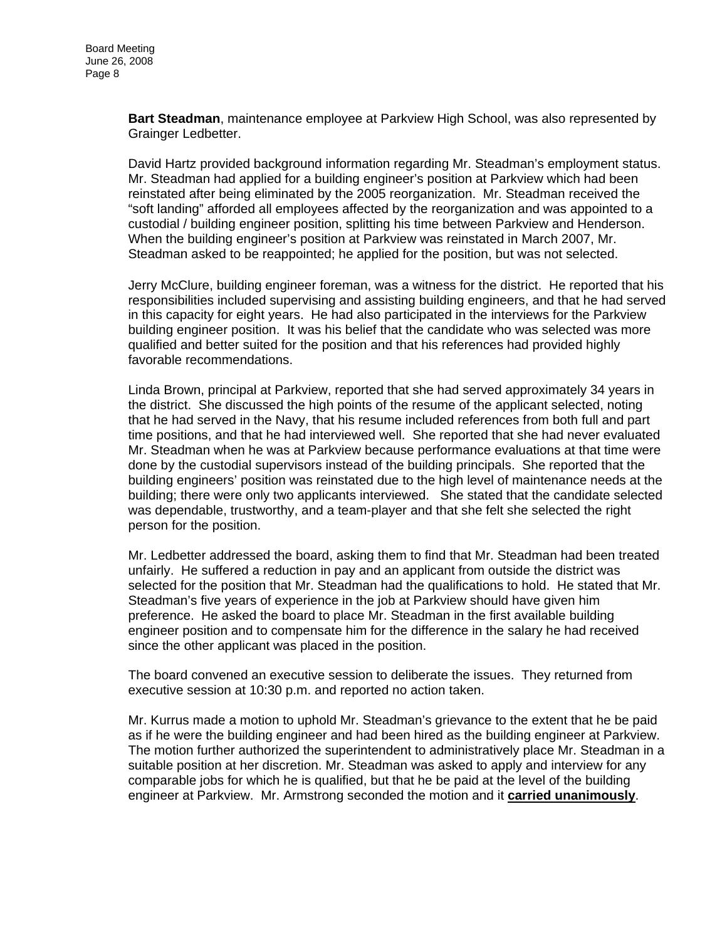**Bart Steadman**, maintenance employee at Parkview High School, was also represented by Grainger Ledbetter.

David Hartz provided background information regarding Mr. Steadman's employment status. Mr. Steadman had applied for a building engineer's position at Parkview which had been reinstated after being eliminated by the 2005 reorganization. Mr. Steadman received the "soft landing" afforded all employees affected by the reorganization and was appointed to a custodial / building engineer position, splitting his time between Parkview and Henderson. When the building engineer's position at Parkview was reinstated in March 2007, Mr. Steadman asked to be reappointed; he applied for the position, but was not selected.

Jerry McClure, building engineer foreman, was a witness for the district. He reported that his responsibilities included supervising and assisting building engineers, and that he had served in this capacity for eight years. He had also participated in the interviews for the Parkview building engineer position. It was his belief that the candidate who was selected was more qualified and better suited for the position and that his references had provided highly favorable recommendations.

Linda Brown, principal at Parkview, reported that she had served approximately 34 years in the district. She discussed the high points of the resume of the applicant selected, noting that he had served in the Navy, that his resume included references from both full and part time positions, and that he had interviewed well. She reported that she had never evaluated Mr. Steadman when he was at Parkview because performance evaluations at that time were done by the custodial supervisors instead of the building principals. She reported that the building engineers' position was reinstated due to the high level of maintenance needs at the building; there were only two applicants interviewed. She stated that the candidate selected was dependable, trustworthy, and a team-player and that she felt she selected the right person for the position.

Mr. Ledbetter addressed the board, asking them to find that Mr. Steadman had been treated unfairly. He suffered a reduction in pay and an applicant from outside the district was selected for the position that Mr. Steadman had the qualifications to hold. He stated that Mr. Steadman's five years of experience in the job at Parkview should have given him preference. He asked the board to place Mr. Steadman in the first available building engineer position and to compensate him for the difference in the salary he had received since the other applicant was placed in the position.

The board convened an executive session to deliberate the issues. They returned from executive session at 10:30 p.m. and reported no action taken.

Mr. Kurrus made a motion to uphold Mr. Steadman's grievance to the extent that he be paid as if he were the building engineer and had been hired as the building engineer at Parkview. The motion further authorized the superintendent to administratively place Mr. Steadman in a suitable position at her discretion. Mr. Steadman was asked to apply and interview for any comparable jobs for which he is qualified, but that he be paid at the level of the building engineer at Parkview. Mr. Armstrong seconded the motion and it **carried unanimously**.